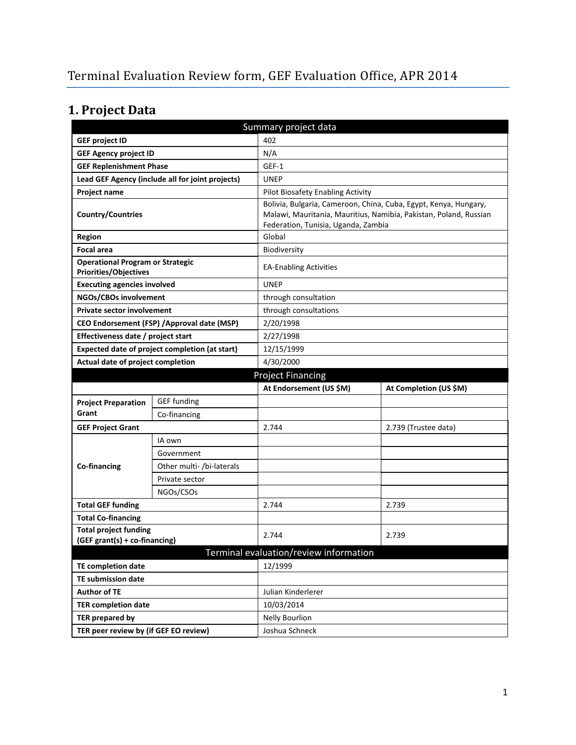# **1. Project Data**

| Summary project data                                                    |                                             |                                        |                                                                                                                                                                              |  |  |
|-------------------------------------------------------------------------|---------------------------------------------|----------------------------------------|------------------------------------------------------------------------------------------------------------------------------------------------------------------------------|--|--|
| <b>GEF project ID</b>                                                   |                                             | 402                                    |                                                                                                                                                                              |  |  |
| <b>GEF Agency project ID</b>                                            |                                             | N/A                                    |                                                                                                                                                                              |  |  |
| <b>GEF Replenishment Phase</b>                                          |                                             | GEF-1                                  |                                                                                                                                                                              |  |  |
| Lead GEF Agency (include all for joint projects)                        |                                             | <b>UNEP</b>                            |                                                                                                                                                                              |  |  |
| <b>Project name</b>                                                     |                                             | Pilot Biosafety Enabling Activity      |                                                                                                                                                                              |  |  |
| <b>Country/Countries</b>                                                |                                             |                                        | Bolivia, Bulgaria, Cameroon, China, Cuba, Egypt, Kenya, Hungary,<br>Malawi, Mauritania, Mauritius, Namibia, Pakistan, Poland, Russian<br>Federation, Tunisia, Uganda, Zambia |  |  |
| <b>Region</b>                                                           |                                             | Global                                 |                                                                                                                                                                              |  |  |
| <b>Focal area</b>                                                       |                                             | Biodiversity                           |                                                                                                                                                                              |  |  |
| <b>Operational Program or Strategic</b><br><b>Priorities/Objectives</b> |                                             | <b>EA-Enabling Activities</b>          |                                                                                                                                                                              |  |  |
| <b>Executing agencies involved</b>                                      |                                             | <b>UNEP</b>                            |                                                                                                                                                                              |  |  |
| NGOs/CBOs involvement                                                   |                                             | through consultation                   |                                                                                                                                                                              |  |  |
| <b>Private sector involvement</b>                                       |                                             | through consultations                  |                                                                                                                                                                              |  |  |
|                                                                         | CEO Endorsement (FSP) / Approval date (MSP) | 2/20/1998                              |                                                                                                                                                                              |  |  |
| Effectiveness date / project start                                      |                                             | 2/27/1998                              |                                                                                                                                                                              |  |  |
| Expected date of project completion (at start)                          |                                             | 12/15/1999                             |                                                                                                                                                                              |  |  |
| Actual date of project completion                                       |                                             | 4/30/2000                              |                                                                                                                                                                              |  |  |
|                                                                         |                                             | <b>Project Financing</b>               |                                                                                                                                                                              |  |  |
|                                                                         |                                             |                                        |                                                                                                                                                                              |  |  |
|                                                                         |                                             | At Endorsement (US \$M)                | At Completion (US \$M)                                                                                                                                                       |  |  |
| <b>Project Preparation</b>                                              | <b>GEF</b> funding                          |                                        |                                                                                                                                                                              |  |  |
| Grant                                                                   | Co-financing                                |                                        |                                                                                                                                                                              |  |  |
| <b>GEF Project Grant</b>                                                |                                             | 2.744                                  | 2.739 (Trustee data)                                                                                                                                                         |  |  |
|                                                                         | IA own                                      |                                        |                                                                                                                                                                              |  |  |
|                                                                         | Government                                  |                                        |                                                                                                                                                                              |  |  |
| Co-financing                                                            | Other multi- /bi-laterals                   |                                        |                                                                                                                                                                              |  |  |
|                                                                         | Private sector                              |                                        |                                                                                                                                                                              |  |  |
|                                                                         | NGOs/CSOs                                   |                                        |                                                                                                                                                                              |  |  |
| <b>Total GEF funding</b>                                                |                                             | 2.744                                  | 2.739                                                                                                                                                                        |  |  |
| <b>Total Co-financing</b>                                               |                                             |                                        |                                                                                                                                                                              |  |  |
| <b>Total project funding</b>                                            |                                             |                                        |                                                                                                                                                                              |  |  |
| (GEF grant(s) + co-financing)                                           |                                             | 2.744                                  | 2.739                                                                                                                                                                        |  |  |
|                                                                         |                                             | Terminal evaluation/review information |                                                                                                                                                                              |  |  |
| <b>TE completion date</b>                                               |                                             | 12/1999                                |                                                                                                                                                                              |  |  |
| <b>TE submission date</b>                                               |                                             |                                        |                                                                                                                                                                              |  |  |
| <b>Author of TE</b>                                                     |                                             | Julian Kinderlerer                     |                                                                                                                                                                              |  |  |
| <b>TER completion date</b>                                              |                                             | 10/03/2014                             |                                                                                                                                                                              |  |  |
| <b>TER prepared by</b>                                                  |                                             | <b>Nelly Bourlion</b>                  |                                                                                                                                                                              |  |  |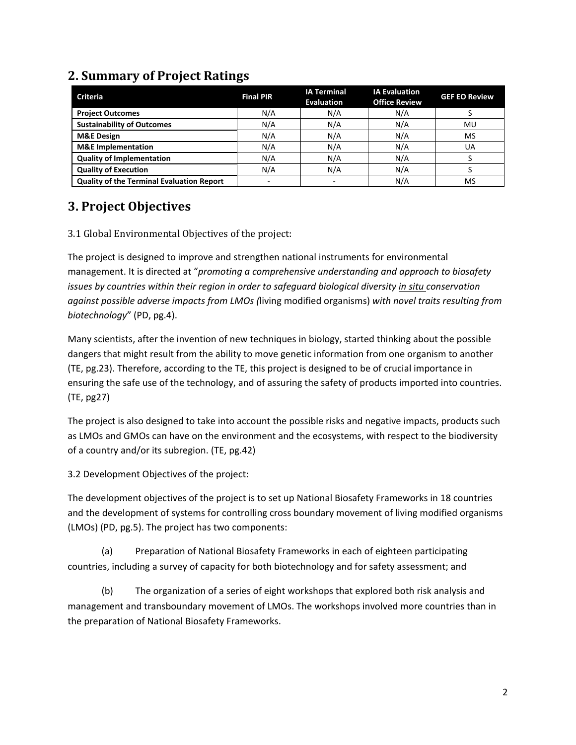| <b>Criteria</b>                                  | <b>Final PIR</b>         | <b>IA Terminal</b><br><b>Evaluation</b> | <b>IA Evaluation</b><br><b>Office Review</b> | <b>GEF EO Review</b> |
|--------------------------------------------------|--------------------------|-----------------------------------------|----------------------------------------------|----------------------|
| <b>Project Outcomes</b>                          | N/A                      | N/A                                     | N/A                                          |                      |
| <b>Sustainability of Outcomes</b>                | N/A                      | N/A                                     | N/A                                          | MU                   |
| <b>M&amp;E Design</b>                            | N/A                      | N/A                                     | N/A                                          | MS                   |
| <b>M&amp;E</b> Implementation                    | N/A                      | N/A                                     | N/A                                          | UA                   |
| <b>Quality of Implementation</b>                 | N/A                      | N/A                                     | N/A                                          |                      |
| <b>Quality of Execution</b>                      | N/A                      | N/A                                     | N/A                                          |                      |
| <b>Quality of the Terminal Evaluation Report</b> | $\overline{\phantom{a}}$ |                                         | N/A                                          | <b>MS</b>            |

### **2. Summary of Project Ratings**

### **3. Project Objectives**

3.1 Global Environmental Objectives of the project:

The project is designed to improve and strengthen national instruments for environmental management. It is directed at "*promoting a comprehensive understanding and approach to biosafety issues by countries within their region in order to safeguard biological diversity in situ conservation against possible adverse impacts from LMOs (*living modified organisms) *with novel traits resulting from biotechnology*" (PD, pg.4).

Many scientists, after the invention of new techniques in biology, started thinking about the possible dangers that might result from the ability to move genetic information from one organism to another (TE, pg.23). Therefore, according to the TE, this project is designed to be of crucial importance in ensuring the safe use of the technology, and of assuring the safety of products imported into countries. (TE, pg27)

The project is also designed to take into account the possible risks and negative impacts, products such as LMOs and GMOs can have on the environment and the ecosystems, with respect to the biodiversity of a country and/or its subregion. (TE, pg.42)

3.2 Development Objectives of the project:

The development objectives of the project is to set up National Biosafety Frameworks in 18 countries and the development of systems for controlling cross boundary movement of living modified organisms (LMOs) (PD, pg.5). The project has two components:

(a) Preparation of National Biosafety Frameworks in each of eighteen participating countries, including a survey of capacity for both biotechnology and for safety assessment; and

(b) The organization of a series of eight workshops that explored both risk analysis and management and transboundary movement of LMOs. The workshops involved more countries than in the preparation of National Biosafety Frameworks.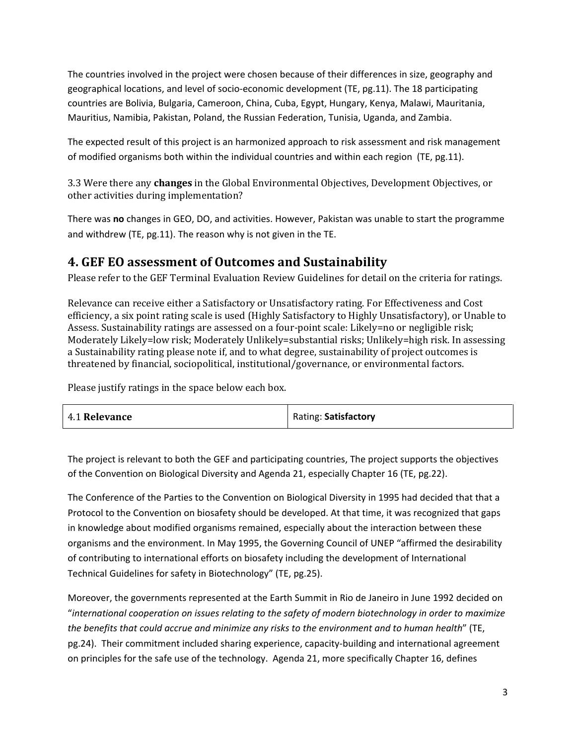The countries involved in the project were chosen because of their differences in size, geography and geographical locations, and level of socio-economic development (TE, pg.11). The 18 participating countries are Bolivia, Bulgaria, Cameroon, China, Cuba, Egypt, Hungary, Kenya, Malawi, Mauritania, Mauritius, Namibia, Pakistan, Poland, the Russian Federation, Tunisia, Uganda, and Zambia.

The expected result of this project is an harmonized approach to risk assessment and risk management of modified organisms both within the individual countries and within each region (TE, pg.11).

3.3 Were there any **changes** in the Global Environmental Objectives, Development Objectives, or other activities during implementation?

There was **no** changes in GEO, DO, and activities. However, Pakistan was unable to start the programme and withdrew (TE, pg.11). The reason why is not given in the TE.

### **4. GEF EO assessment of Outcomes and Sustainability**

Please refer to the GEF Terminal Evaluation Review Guidelines for detail on the criteria for ratings.

Relevance can receive either a Satisfactory or Unsatisfactory rating. For Effectiveness and Cost efficiency, a six point rating scale is used (Highly Satisfactory to Highly Unsatisfactory), or Unable to Assess. Sustainability ratings are assessed on a four-point scale: Likely=no or negligible risk; Moderately Likely=low risk; Moderately Unlikely=substantial risks; Unlikely=high risk. In assessing a Sustainability rating please note if, and to what degree, sustainability of project outcomes is threatened by financial, sociopolitical, institutional/governance, or environmental factors.

Please justify ratings in the space below each box.

| 4.1 Relevance |  | Rating: Satisfactory |
|---------------|--|----------------------|
|---------------|--|----------------------|

The project is relevant to both the GEF and participating countries, The project supports the objectives of the Convention on Biological Diversity and Agenda 21, especially Chapter 16 (TE, pg.22).

The Conference of the Parties to the Convention on Biological Diversity in 1995 had decided that that a Protocol to the Convention on biosafety should be developed. At that time, it was recognized that gaps in knowledge about modified organisms remained, especially about the interaction between these organisms and the environment. In May 1995, the Governing Council of UNEP "affirmed the desirability of contributing to international efforts on biosafety including the development of International Technical Guidelines for safety in Biotechnology" (TE, pg.25).

Moreover, the governments represented at the Earth Summit in Rio de Janeiro in June 1992 decided on "*international cooperation on issues relating to the safety of modern biotechnology in order to maximize the benefits that could accrue and minimize any risks to the environment and to human health*" (TE, pg.24). Their commitment included sharing experience, capacity-building and international agreement on principles for the safe use of the technology. Agenda 21, more specifically Chapter 16, defines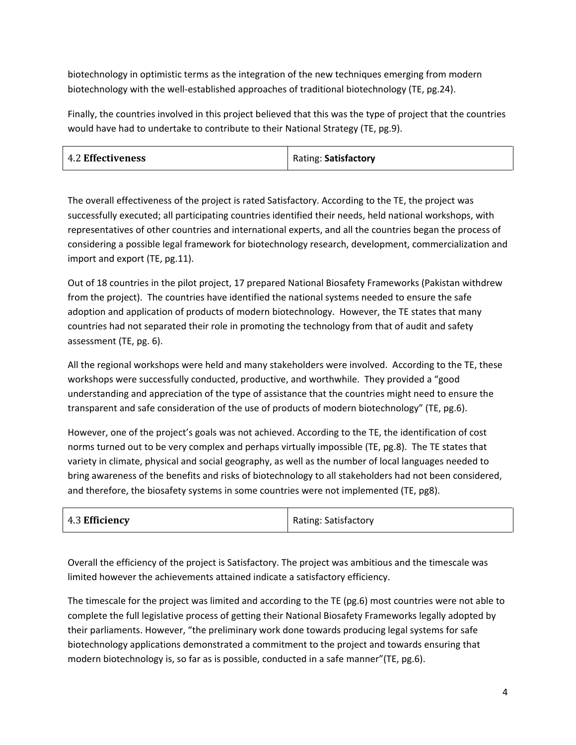biotechnology in optimistic terms as the integration of the new techniques emerging from modern biotechnology with the well-established approaches of traditional biotechnology (TE, pg.24).

Finally, the countries involved in this project believed that this was the type of project that the countries would have had to undertake to contribute to their National Strategy (TE, pg.9).

| <b>4.2 Effectiveness</b> | Rating: Satisfactory |
|--------------------------|----------------------|
|--------------------------|----------------------|

The overall effectiveness of the project is rated Satisfactory. According to the TE, the project was successfully executed; all participating countries identified their needs, held national workshops, with representatives of other countries and international experts, and all the countries began the process of considering a possible legal framework for biotechnology research, development, commercialization and import and export (TE, pg.11).

Out of 18 countries in the pilot project, 17 prepared National Biosafety Frameworks (Pakistan withdrew from the project). The countries have identified the national systems needed to ensure the safe adoption and application of products of modern biotechnology. However, the TE states that many countries had not separated their role in promoting the technology from that of audit and safety assessment (TE, pg. 6).

All the regional workshops were held and many stakeholders were involved. According to the TE, these workshops were successfully conducted, productive, and worthwhile. They provided a "good understanding and appreciation of the type of assistance that the countries might need to ensure the transparent and safe consideration of the use of products of modern biotechnology" (TE, pg.6).

However, one of the project's goals was not achieved. According to the TE, the identification of cost norms turned out to be very complex and perhaps virtually impossible (TE, pg.8). The TE states that variety in climate, physical and social geography, as well as the number of local languages needed to bring awareness of the benefits and risks of biotechnology to all stakeholders had not been considered, and therefore, the biosafety systems in some countries were not implemented (TE, pg8).

| 4.3 Efficiency | <b>Rating: Satisfactory</b> |
|----------------|-----------------------------|
|----------------|-----------------------------|

Overall the efficiency of the project is Satisfactory. The project was ambitious and the timescale was limited however the achievements attained indicate a satisfactory efficiency.

The timescale for the project was limited and according to the TE (pg.6) most countries were not able to complete the full legislative process of getting their National Biosafety Frameworks legally adopted by their parliaments. However, "the preliminary work done towards producing legal systems for safe biotechnology applications demonstrated a commitment to the project and towards ensuring that modern biotechnology is, so far as is possible, conducted in a safe manner"(TE, pg.6).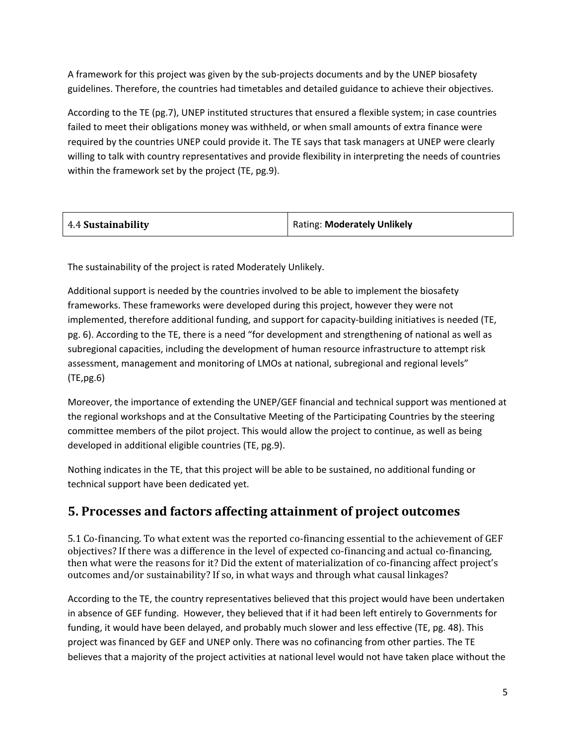A framework for this project was given by the sub-projects documents and by the UNEP biosafety guidelines. Therefore, the countries had timetables and detailed guidance to achieve their objectives.

According to the TE (pg.7), UNEP instituted structures that ensured a flexible system; in case countries failed to meet their obligations money was withheld, or when small amounts of extra finance were required by the countries UNEP could provide it. The TE says that task managers at UNEP were clearly willing to talk with country representatives and provide flexibility in interpreting the needs of countries within the framework set by the project (TE, pg.9).

| <b>Rating: Moderately Unlikely</b> |
|------------------------------------|
|                                    |

The sustainability of the project is rated Moderately Unlikely.

Additional support is needed by the countries involved to be able to implement the biosafety frameworks. These frameworks were developed during this project, however they were not implemented, therefore additional funding, and support for capacity-building initiatives is needed (TE, pg. 6). According to the TE, there is a need "for development and strengthening of national as well as subregional capacities, including the development of human resource infrastructure to attempt risk assessment, management and monitoring of LMOs at national, subregional and regional levels" (TE,pg.6)

Moreover, the importance of extending the UNEP/GEF financial and technical support was mentioned at the regional workshops and at the Consultative Meeting of the Participating Countries by the steering committee members of the pilot project. This would allow the project to continue, as well as being developed in additional eligible countries (TE, pg.9).

Nothing indicates in the TE, that this project will be able to be sustained, no additional funding or technical support have been dedicated yet.

## **5. Processes and factors affecting attainment of project outcomes**

5.1 Co-financing. To what extent was the reported co-financing essential to the achievement of GEF objectives? If there was a difference in the level of expected co-financing and actual co-financing, then what were the reasons for it? Did the extent of materialization of co-financing affect project's outcomes and/or sustainability? If so, in what ways and through what causal linkages?

According to the TE, the country representatives believed that this project would have been undertaken in absence of GEF funding. However, they believed that if it had been left entirely to Governments for funding, it would have been delayed, and probably much slower and less effective (TE, pg. 48). This project was financed by GEF and UNEP only. There was no cofinancing from other parties. The TE believes that a majority of the project activities at national level would not have taken place without the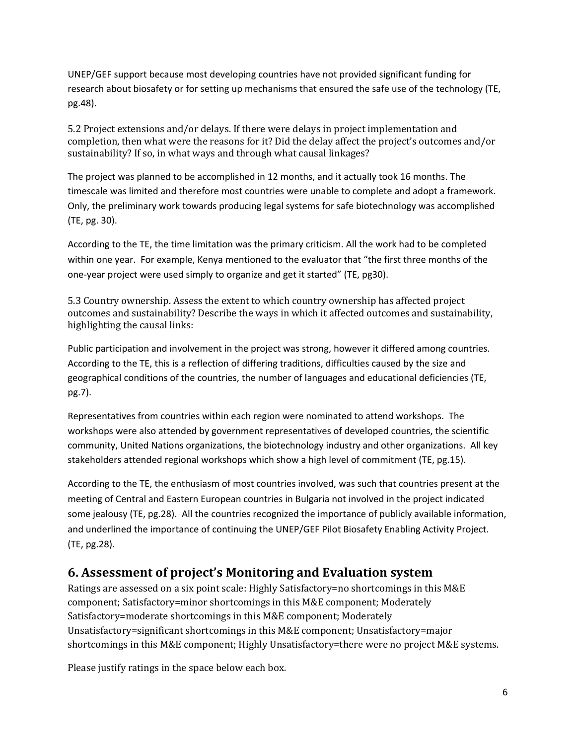UNEP/GEF support because most developing countries have not provided significant funding for research about biosafety or for setting up mechanisms that ensured the safe use of the technology (TE, pg.48).

5.2 Project extensions and/or delays. If there were delays in project implementation and completion, then what were the reasons for it? Did the delay affect the project's outcomes and/or sustainability? If so, in what ways and through what causal linkages?

The project was planned to be accomplished in 12 months, and it actually took 16 months. The timescale was limited and therefore most countries were unable to complete and adopt a framework. Only, the preliminary work towards producing legal systems for safe biotechnology was accomplished (TE, pg. 30).

According to the TE, the time limitation was the primary criticism. All the work had to be completed within one year. For example, Kenya mentioned to the evaluator that "the first three months of the one-year project were used simply to organize and get it started" (TE, pg30).

5.3 Country ownership. Assess the extent to which country ownership has affected project outcomes and sustainability? Describe the ways in which it affected outcomes and sustainability, highlighting the causal links:

Public participation and involvement in the project was strong, however it differed among countries. According to the TE, this is a reflection of differing traditions, difficulties caused by the size and geographical conditions of the countries, the number of languages and educational deficiencies (TE, pg.7).

Representatives from countries within each region were nominated to attend workshops. The workshops were also attended by government representatives of developed countries, the scientific community, United Nations organizations, the biotechnology industry and other organizations. All key stakeholders attended regional workshops which show a high level of commitment (TE, pg.15).

According to the TE, the enthusiasm of most countries involved, was such that countries present at the meeting of Central and Eastern European countries in Bulgaria not involved in the project indicated some jealousy (TE, pg.28). All the countries recognized the importance of publicly available information, and underlined the importance of continuing the UNEP/GEF Pilot Biosafety Enabling Activity Project. (TE, pg.28).

### **6. Assessment of project's Monitoring and Evaluation system**

Ratings are assessed on a six point scale: Highly Satisfactory=no shortcomings in this M&E component; Satisfactory=minor shortcomings in this M&E component; Moderately Satisfactory=moderate shortcomings in this M&E component; Moderately Unsatisfactory=significant shortcomings in this M&E component; Unsatisfactory=major shortcomings in this M&E component; Highly Unsatisfactory=there were no project M&E systems.

Please justify ratings in the space below each box.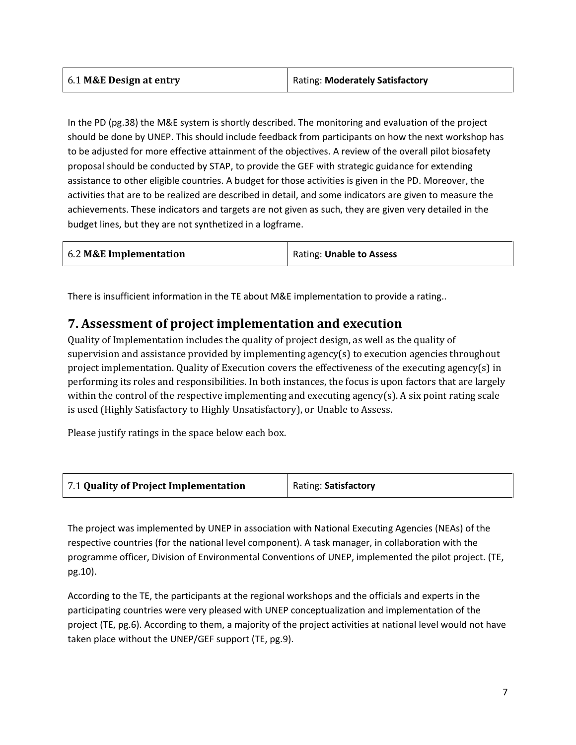| 6.1 M&E Design at entry | <b>Rating: Moderately Satisfactory</b> |
|-------------------------|----------------------------------------|
|-------------------------|----------------------------------------|

In the PD (pg.38) the M&E system is shortly described. The monitoring and evaluation of the project should be done by UNEP. This should include feedback from participants on how the next workshop has to be adjusted for more effective attainment of the objectives. A review of the overall pilot biosafety proposal should be conducted by STAP, to provide the GEF with strategic guidance for extending assistance to other eligible countries. A budget for those activities is given in the PD. Moreover, the activities that are to be realized are described in detail, and some indicators are given to measure the achievements. These indicators and targets are not given as such, they are given very detailed in the budget lines, but they are not synthetized in a logframe.

| 6.2 M&E Implementation | Rating: Unable to Assess |  |
|------------------------|--------------------------|--|
|                        |                          |  |

There is insufficient information in the TE about M&E implementation to provide a rating..

#### **7. Assessment of project implementation and execution**

Quality of Implementation includes the quality of project design, as well as the quality of supervision and assistance provided by implementing agency(s) to execution agencies throughout project implementation. Quality of Execution covers the effectiveness of the executing agency(s) in performing its roles and responsibilities. In both instances, the focus is upon factors that are largely within the control of the respective implementing and executing agency(s). A six point rating scale is used (Highly Satisfactory to Highly Unsatisfactory), or Unable to Assess.

Please justify ratings in the space below each box.

| 7.1 Quality of Project Implementation | Rating: Satisfactory |
|---------------------------------------|----------------------|
|---------------------------------------|----------------------|

The project was implemented by UNEP in association with National Executing Agencies (NEAs) of the respective countries (for the national level component). A task manager, in collaboration with the programme officer, Division of Environmental Conventions of UNEP, implemented the pilot project. (TE, pg.10).

According to the TE, the participants at the regional workshops and the officials and experts in the participating countries were very pleased with UNEP conceptualization and implementation of the project (TE, pg.6). According to them, a majority of the project activities at national level would not have taken place without the UNEP/GEF support (TE, pg.9).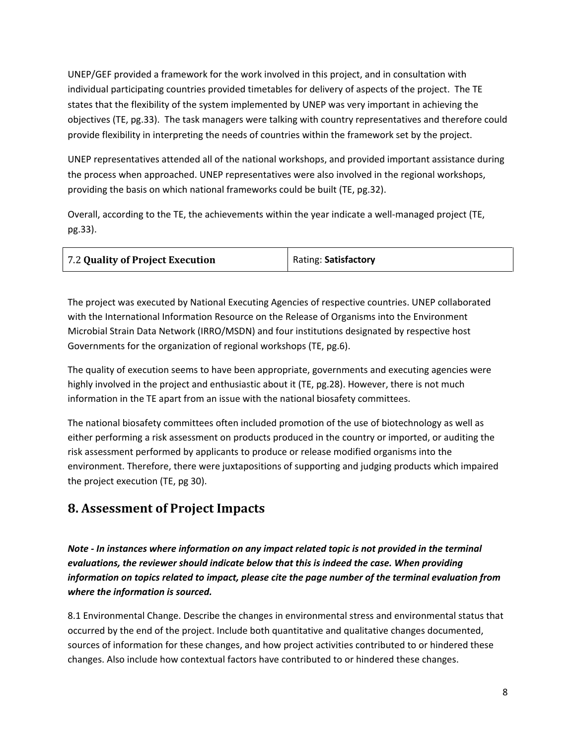UNEP/GEF provided a framework for the work involved in this project, and in consultation with individual participating countries provided timetables for delivery of aspects of the project. The TE states that the flexibility of the system implemented by UNEP was very important in achieving the objectives (TE, pg.33). The task managers were talking with country representatives and therefore could provide flexibility in interpreting the needs of countries within the framework set by the project.

UNEP representatives attended all of the national workshops, and provided important assistance during the process when approached. UNEP representatives were also involved in the regional workshops, providing the basis on which national frameworks could be built (TE, pg.32).

Overall, according to the TE, the achievements within the year indicate a well-managed project (TE, pg.33).

| 7.2 Quality of Project Execution | Rating: Satisfactory |
|----------------------------------|----------------------|
|                                  |                      |

The project was executed by National Executing Agencies of respective countries. UNEP collaborated with the International Information Resource on the Release of Organisms into the Environment Microbial Strain Data Network (IRRO/MSDN) and four institutions designated by respective host Governments for the organization of regional workshops (TE, pg.6).

The quality of execution seems to have been appropriate, governments and executing agencies were highly involved in the project and enthusiastic about it (TE, pg.28). However, there is not much information in the TE apart from an issue with the national biosafety committees.

The national biosafety committees often included promotion of the use of biotechnology as well as either performing a risk assessment on products produced in the country or imported, or auditing the risk assessment performed by applicants to produce or release modified organisms into the environment. Therefore, there were juxtapositions of supporting and judging products which impaired the project execution (TE, pg 30).

## **8. Assessment of Project Impacts**

*Note - In instances where information on any impact related topic is not provided in the terminal evaluations, the reviewer should indicate below that this is indeed the case. When providing information on topics related to impact, please cite the page number of the terminal evaluation from where the information is sourced.* 

8.1 Environmental Change. Describe the changes in environmental stress and environmental status that occurred by the end of the project. Include both quantitative and qualitative changes documented, sources of information for these changes, and how project activities contributed to or hindered these changes. Also include how contextual factors have contributed to or hindered these changes.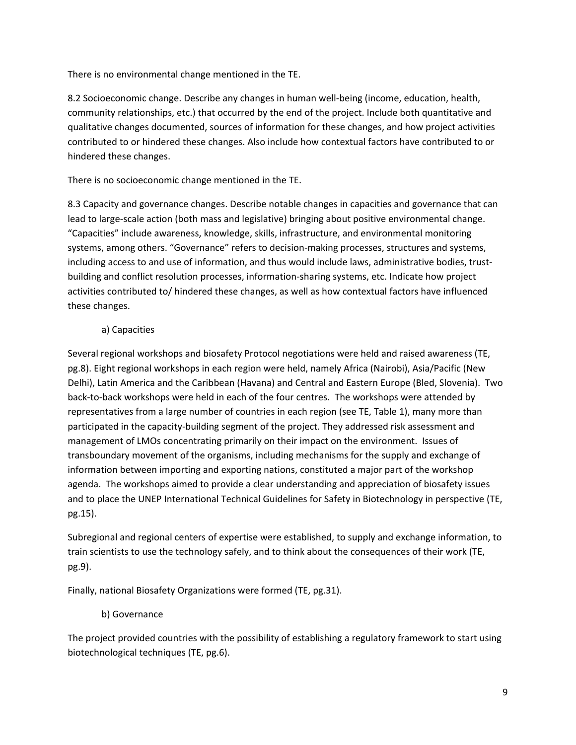There is no environmental change mentioned in the TE.

8.2 Socioeconomic change. Describe any changes in human well-being (income, education, health, community relationships, etc.) that occurred by the end of the project. Include both quantitative and qualitative changes documented, sources of information for these changes, and how project activities contributed to or hindered these changes. Also include how contextual factors have contributed to or hindered these changes.

There is no socioeconomic change mentioned in the TE.

8.3 Capacity and governance changes. Describe notable changes in capacities and governance that can lead to large-scale action (both mass and legislative) bringing about positive environmental change. "Capacities" include awareness, knowledge, skills, infrastructure, and environmental monitoring systems, among others. "Governance" refers to decision-making processes, structures and systems, including access to and use of information, and thus would include laws, administrative bodies, trustbuilding and conflict resolution processes, information-sharing systems, etc. Indicate how project activities contributed to/ hindered these changes, as well as how contextual factors have influenced these changes.

#### a) Capacities

Several regional workshops and biosafety Protocol negotiations were held and raised awareness (TE, pg.8). Eight regional workshops in each region were held, namely Africa (Nairobi), Asia/Pacific (New Delhi), Latin America and the Caribbean (Havana) and Central and Eastern Europe (Bled, Slovenia). Two back-to-back workshops were held in each of the four centres. The workshops were attended by representatives from a large number of countries in each region (see TE, Table 1), many more than participated in the capacity-building segment of the project. They addressed risk assessment and management of LMOs concentrating primarily on their impact on the environment. Issues of transboundary movement of the organisms, including mechanisms for the supply and exchange of information between importing and exporting nations, constituted a major part of the workshop agenda. The workshops aimed to provide a clear understanding and appreciation of biosafety issues and to place the UNEP International Technical Guidelines for Safety in Biotechnology in perspective (TE, pg.15).

Subregional and regional centers of expertise were established, to supply and exchange information, to train scientists to use the technology safely, and to think about the consequences of their work (TE, pg.9).

Finally, national Biosafety Organizations were formed (TE, pg.31).

#### b) Governance

The project provided countries with the possibility of establishing a regulatory framework to start using biotechnological techniques (TE, pg.6).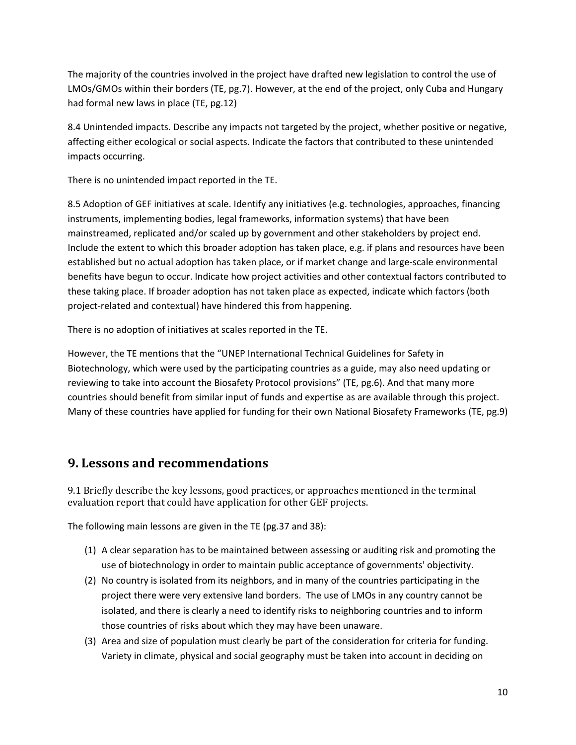The majority of the countries involved in the project have drafted new legislation to control the use of LMOs/GMOs within their borders (TE, pg.7). However, at the end of the project, only Cuba and Hungary had formal new laws in place (TE, pg.12)

8.4 Unintended impacts. Describe any impacts not targeted by the project, whether positive or negative, affecting either ecological or social aspects. Indicate the factors that contributed to these unintended impacts occurring.

There is no unintended impact reported in the TE.

8.5 Adoption of GEF initiatives at scale. Identify any initiatives (e.g. technologies, approaches, financing instruments, implementing bodies, legal frameworks, information systems) that have been mainstreamed, replicated and/or scaled up by government and other stakeholders by project end. Include the extent to which this broader adoption has taken place, e.g. if plans and resources have been established but no actual adoption has taken place, or if market change and large-scale environmental benefits have begun to occur. Indicate how project activities and other contextual factors contributed to these taking place. If broader adoption has not taken place as expected, indicate which factors (both project-related and contextual) have hindered this from happening.

There is no adoption of initiatives at scales reported in the TE.

However, the TE mentions that the "UNEP International Technical Guidelines for Safety in Biotechnology, which were used by the participating countries as a guide, may also need updating or reviewing to take into account the Biosafety Protocol provisions" (TE, pg.6). And that many more countries should benefit from similar input of funds and expertise as are available through this project. Many of these countries have applied for funding for their own National Biosafety Frameworks (TE, pg.9)

### **9. Lessons and recommendations**

9.1 Briefly describe the key lessons, good practices, or approaches mentioned in the terminal evaluation report that could have application for other GEF projects.

The following main lessons are given in the TE (pg.37 and 38):

- (1) A clear separation has to be maintained between assessing or auditing risk and promoting the use of biotechnology in order to maintain public acceptance of governments' objectivity.
- (2) No country is isolated from its neighbors, and in many of the countries participating in the project there were very extensive land borders. The use of LMOs in any country cannot be isolated, and there is clearly a need to identify risks to neighboring countries and to inform those countries of risks about which they may have been unaware.
- (3) Area and size of population must clearly be part of the consideration for criteria for funding. Variety in climate, physical and social geography must be taken into account in deciding on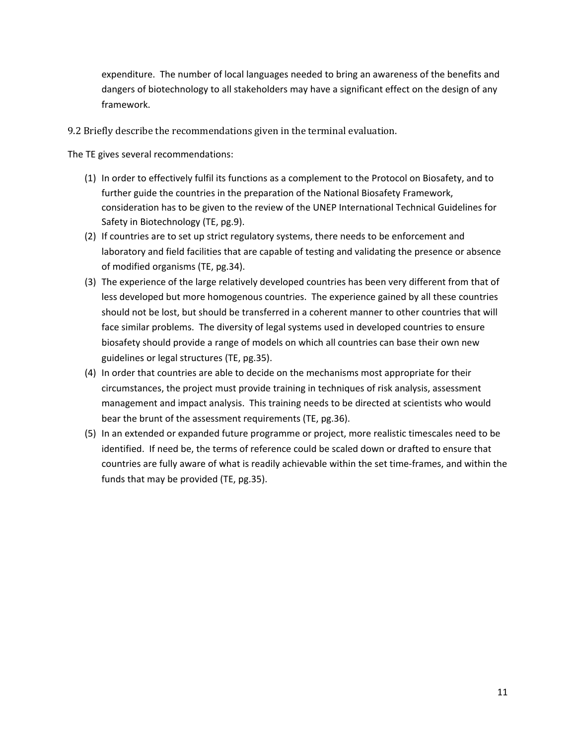expenditure. The number of local languages needed to bring an awareness of the benefits and dangers of biotechnology to all stakeholders may have a significant effect on the design of any framework.

9.2 Briefly describe the recommendations given in the terminal evaluation.

The TE gives several recommendations:

- (1) In order to effectively fulfil its functions as a complement to the Protocol on Biosafety, and to further guide the countries in the preparation of the National Biosafety Framework, consideration has to be given to the review of the UNEP International Technical Guidelines for Safety in Biotechnology (TE, pg.9).
- (2) If countries are to set up strict regulatory systems, there needs to be enforcement and laboratory and field facilities that are capable of testing and validating the presence or absence of modified organisms (TE, pg.34).
- (3) The experience of the large relatively developed countries has been very different from that of less developed but more homogenous countries. The experience gained by all these countries should not be lost, but should be transferred in a coherent manner to other countries that will face similar problems. The diversity of legal systems used in developed countries to ensure biosafety should provide a range of models on which all countries can base their own new guidelines or legal structures (TE, pg.35).
- (4) In order that countries are able to decide on the mechanisms most appropriate for their circumstances, the project must provide training in techniques of risk analysis, assessment management and impact analysis. This training needs to be directed at scientists who would bear the brunt of the assessment requirements (TE, pg.36).
- (5) In an extended or expanded future programme or project, more realistic timescales need to be identified. If need be, the terms of reference could be scaled down or drafted to ensure that countries are fully aware of what is readily achievable within the set time-frames, and within the funds that may be provided (TE, pg.35).